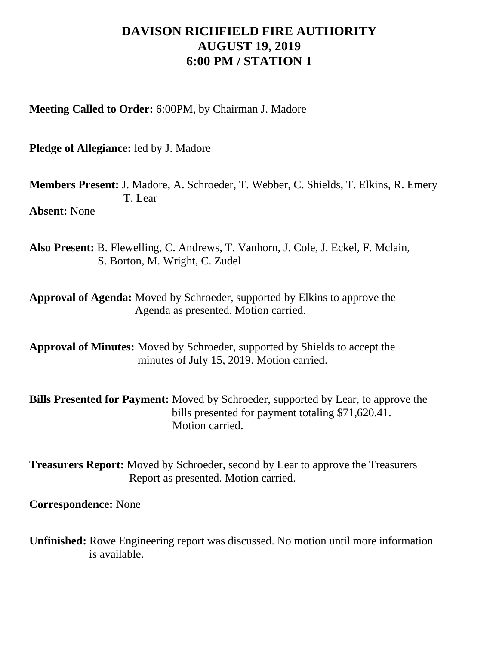## **DAVISON RICHFIELD FIRE AUTHORITY AUGUST 19, 2019 6:00 PM / STATION 1**

**Meeting Called to Order:** 6:00PM, by Chairman J. Madore

**Pledge of Allegiance:** led by J. Madore

**Members Present:** J. Madore, A. Schroeder, T. Webber, C. Shields, T. Elkins, R. Emery T. Lear **Absent:** None

**Also Present:** B. Flewelling, C. Andrews, T. Vanhorn, J. Cole, J. Eckel, F. Mclain, S. Borton, M. Wright, C. Zudel

**Approval of Agenda:** Moved by Schroeder, supported by Elkins to approve the Agenda as presented. Motion carried.

**Approval of Minutes:** Moved by Schroeder, supported by Shields to accept the minutes of July 15, 2019. Motion carried.

**Bills Presented for Payment:** Moved by Schroeder, supported by Lear, to approve the bills presented for payment totaling \$71,620.41. Motion carried.

**Treasurers Report:** Moved by Schroeder, second by Lear to approve the Treasurers Report as presented. Motion carried.

**Correspondence:** None

**Unfinished:** Rowe Engineering report was discussed. No motion until more information is available.